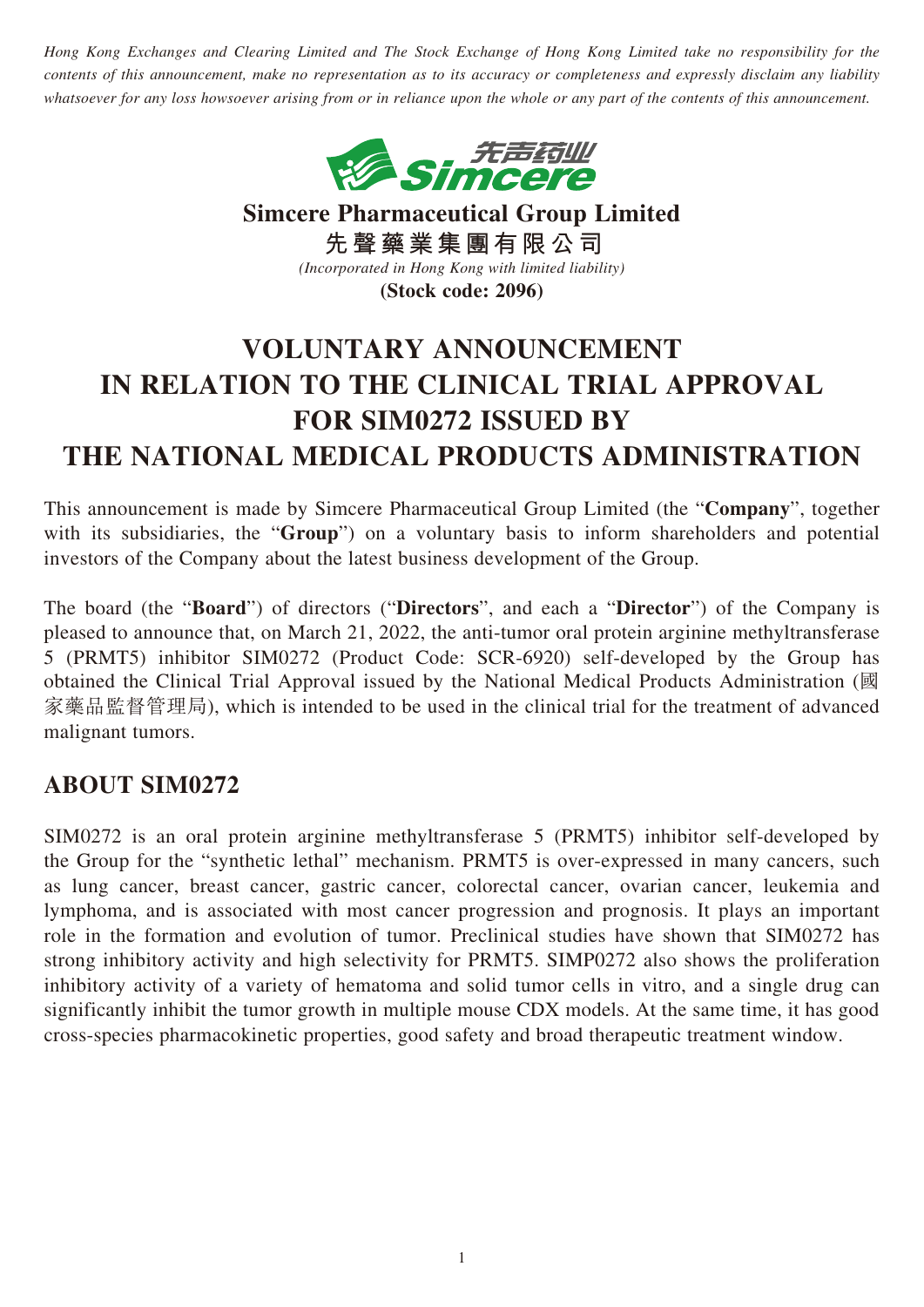*Hong Kong Exchanges and Clearing Limited and The Stock Exchange of Hong Kong Limited take no responsibility for the contents of this announcement, make no representation as to its accuracy or completeness and expressly disclaim any liability whatsoever for any loss howsoever arising from or in reliance upon the whole or any part of the contents of this announcement.*



**Simcere Pharmaceutical Group Limited 先聲藥業集團有限公司** *(Incorporated in Hong Kong with limited liability)* **(Stock code: 2096)**

## **VOLUNTARY ANNOUNCEMENT IN RELATION TO THE CLINICAL TRIAL APPROVAL FOR SIM0272 ISSUED BY THE NATIONAL MEDICAL PRODUCTS ADMINISTRATION**

This announcement is made by Simcere Pharmaceutical Group Limited (the "**Company**", together with its subsidiaries, the "**Group**") on a voluntary basis to inform shareholders and potential investors of the Company about the latest business development of the Group.

The board (the "**Board**") of directors ("**Directors**", and each a "**Director**") of the Company is pleased to announce that, on March 21, 2022, the anti-tumor oral protein arginine methyltransferase 5 (PRMT5) inhibitor SIM0272 (Product Code: SCR-6920) self-developed by the Group has obtained the Clinical Trial Approval issued by the National Medical Products Administration (國 家藥品監督管理局), which is intended to be used in the clinical trial for the treatment of advanced malignant tumors.

## **ABOUT SIM0272**

SIM0272 is an oral protein arginine methyltransferase 5 (PRMT5) inhibitor self-developed by the Group for the "synthetic lethal" mechanism. PRMT5 is over-expressed in many cancers, such as lung cancer, breast cancer, gastric cancer, colorectal cancer, ovarian cancer, leukemia and lymphoma, and is associated with most cancer progression and prognosis. It plays an important role in the formation and evolution of tumor. Preclinical studies have shown that SIM0272 has strong inhibitory activity and high selectivity for PRMT5. SIMP0272 also shows the proliferation inhibitory activity of a variety of hematoma and solid tumor cells in vitro, and a single drug can significantly inhibit the tumor growth in multiple mouse CDX models. At the same time, it has good cross-species pharmacokinetic properties, good safety and broad therapeutic treatment window.